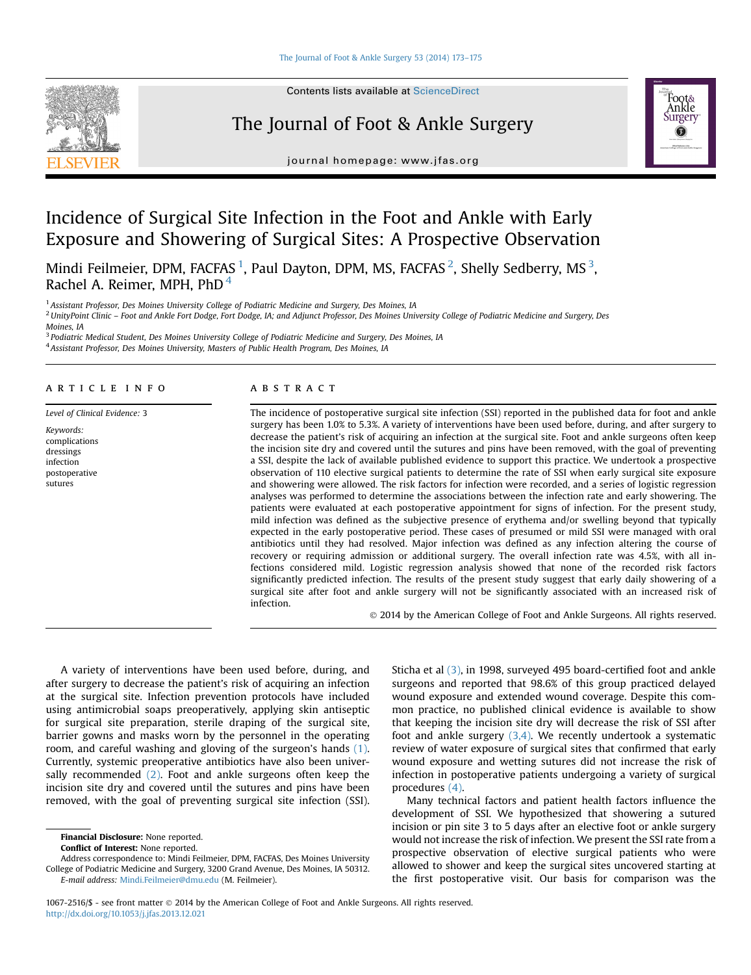

**Contents lists available at ScienceDirect** 

## The Journal of Foot & Ankle Surgery



journal homepage: [www.jfas.org](http://www.jfas.org)

# Incidence of Surgical Site Infection in the Foot and Ankle with Early Exposure and Showering of Surgical Sites: A Prospective Observation

Mindi Feilmeier, DPM, FACFAS  $^1$ , Paul Dayton, DPM, MS, FACFAS  $^2$ , Shelly Sedberry, MS  $^3$ , Rachel A. Reimer, MPH, PhD<sup>4</sup>

<sup>1</sup> Assistant Professor, Des Moines University College of Podiatric Medicine and Surgery, Des Moines, IA

<sup>2</sup> UnityPoint Clinic - Foot and Ankle Fort Dodge, Fort Dodge, IA; and Adjunct Professor, Des Moines University College of Podiatric Medicine and Surgery, Des

<sup>3</sup> Podiatric Medical Student, Des Moines University College of Podiatric Medicine and Surgery, Des Moines, IA <sup>4</sup> Assistant Professor, Des Moines University, Masters of Public Health Program, Des Moines, IA

### article info

Level of Clinical Evidence: 3

Keywords: complications dressings infection postoperative sutures

#### abstract

The incidence of postoperative surgical site infection (SSI) reported in the published data for foot and ankle surgery has been 1.0% to 5.3%. A variety of interventions have been used before, during, and after surgery to decrease the patient's risk of acquiring an infection at the surgical site. Foot and ankle surgeons often keep the incision site dry and covered until the sutures and pins have been removed, with the goal of preventing a SSI, despite the lack of available published evidence to support this practice. We undertook a prospective observation of 110 elective surgical patients to determine the rate of SSI when early surgical site exposure and showering were allowed. The risk factors for infection were recorded, and a series of logistic regression analyses was performed to determine the associations between the infection rate and early showering. The patients were evaluated at each postoperative appointment for signs of infection. For the present study, mild infection was defined as the subjective presence of erythema and/or swelling beyond that typically expected in the early postoperative period. These cases of presumed or mild SSI were managed with oral antibiotics until they had resolved. Major infection was defined as any infection altering the course of recovery or requiring admission or additional surgery. The overall infection rate was 4.5%, with all infections considered mild. Logistic regression analysis showed that none of the recorded risk factors significantly predicted infection. The results of the present study suggest that early daily showering of a surgical site after foot and ankle surgery will not be significantly associated with an increased risk of infection.

2014 by the American College of Foot and Ankle Surgeons. All rights reserved.

A variety of interventions have been used before, during, and after surgery to decrease the patient's risk of acquiring an infection at the surgical site. Infection prevention protocols have included using antimicrobial soaps preoperatively, applying skin antiseptic for surgical site preparation, sterile draping of the surgical site, barrier gowns and masks worn by the personnel in the operating room, and careful washing and gloving of the surgeon's hands [\(1\)](#page-2-0). Currently, systemic preoperative antibiotics have also been universally recommended  $(2)$ . Foot and ankle surgeons often keep the incision site dry and covered until the sutures and pins have been removed, with the goal of preventing surgical site infection (SSI).

Sticha et al [\(3\)](#page-2-0), in 1998, surveyed 495 board-certified foot and ankle surgeons and reported that 98.6% of this group practiced delayed wound exposure and extended wound coverage. Despite this common practice, no published clinical evidence is available to show that keeping the incision site dry will decrease the risk of SSI after foot and ankle surgery  $(3,4)$ . We recently undertook a systematic review of water exposure of surgical sites that confirmed that early wound exposure and wetting sutures did not increase the risk of infection in postoperative patients undergoing a variety of surgical procedures [\(4\)](#page-2-0).

Many technical factors and patient health factors influence the development of SSI. We hypothesized that showering a sutured incision or pin site 3 to 5 days after an elective foot or ankle surgery would not increase the risk of infection. We present the SSI rate from a prospective observation of elective surgical patients who were allowed to shower and keep the surgical sites uncovered starting at the first postoperative visit. Our basis for comparison was the

Moines, IA

Financial Disclosure: None reported.

Conflict of Interest: None reported.

Address correspondence to: Mindi Feilmeier, DPM, FACFAS, Des Moines University College of Podiatric Medicine and Surgery, 3200 Grand Avenue, Des Moines, IA 50312. E-mail address: [Mindi.Feilmeier@dmu.edu](mailto:Mindi.Feilmeier@dmu.edu) (M. Feilmeier).

<sup>1067-2516/\$ -</sup> see front matter 2014 by the American College of Foot and Ankle Surgeons. All rights reserved. <http://dx.doi.org/10.1053/j.jfas.2013.12.021>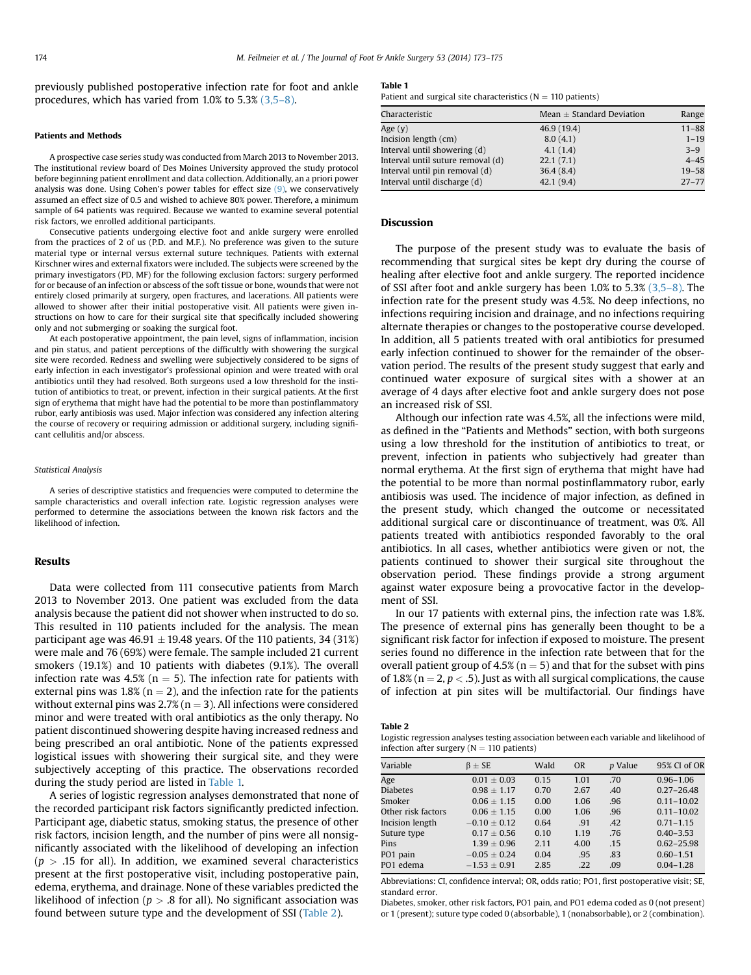previously published postoperative infection rate for foot and ankle procedures, which has varied from 1.0% to 5.3% [\(3,5](#page-2-0)–8).

## Patients and Methods

A prospective case series study was conducted from March 2013 to November 2013. The institutional review board of Des Moines University approved the study protocol before beginning patient enrollment and data collection. Additionally, an a priori power analysis was done. Using Cohen's power tables for effect size  $(9)$ , we conservatively assumed an effect size of 0.5 and wished to achieve 80% power. Therefore, a minimum sample of 64 patients was required. Because we wanted to examine several potential risk factors, we enrolled additional participants.

Consecutive patients undergoing elective foot and ankle surgery were enrolled from the practices of 2 of us (P.D. and M.F.). No preference was given to the suture material type or internal versus external suture techniques. Patients with external Kirschner wires and external fixators were included. The subjects were screened by the primary investigators (PD, MF) for the following exclusion factors: surgery performed for or because of an infection or abscess of the soft tissue or bone, wounds that were not entirely closed primarily at surgery, open fractures, and lacerations. All patients were allowed to shower after their initial postoperative visit. All patients were given instructions on how to care for their surgical site that specifically included showering only and not submerging or soaking the surgical foot.

At each postoperative appointment, the pain level, signs of inflammation, incision and pin status, and patient perceptions of the difficultly with showering the surgical site were recorded. Redness and swelling were subjectively considered to be signs of early infection in each investigator's professional opinion and were treated with oral antibiotics until they had resolved. Both surgeons used a low threshold for the institution of antibiotics to treat, or prevent, infection in their surgical patients. At the first sign of erythema that might have had the potential to be more than postinflammatory rubor, early antibiosis was used. Major infection was considered any infection altering the course of recovery or requiring admission or additional surgery, including significant cellulitis and/or abscess.

#### Statistical Analysis

A series of descriptive statistics and frequencies were computed to determine the sample characteristics and overall infection rate. Logistic regression analyses were performed to determine the associations between the known risk factors and the likelihood of infection.

## Results

Data were collected from 111 consecutive patients from March 2013 to November 2013. One patient was excluded from the data analysis because the patient did not shower when instructed to do so. This resulted in 110 patients included for the analysis. The mean participant age was  $46.91 \pm 19.48$  years. Of the 110 patients, 34 (31%) were male and 76 (69%) were female. The sample included 21 current smokers (19.1%) and 10 patients with diabetes (9.1%). The overall infection rate was 4.5% ( $n = 5$ ). The infection rate for patients with external pins was 1.8% ( $n = 2$ ), and the infection rate for the patients without external pins was  $2.7\%$  (n = 3). All infections were considered minor and were treated with oral antibiotics as the only therapy. No patient discontinued showering despite having increased redness and being prescribed an oral antibiotic. None of the patients expressed logistical issues with showering their surgical site, and they were subjectively accepting of this practice. The observations recorded during the study period are listed in Table 1.

A series of logistic regression analyses demonstrated that none of the recorded participant risk factors significantly predicted infection. Participant age, diabetic status, smoking status, the presence of other risk factors, incision length, and the number of pins were all nonsignificantly associated with the likelihood of developing an infection  $(p > .15$  for all). In addition, we examined several characteristics present at the first postoperative visit, including postoperative pain, edema, erythema, and drainage. None of these variables predicted the likelihood of infection ( $p > .8$  for all). No significant association was found between suture type and the development of SSI (Table 2).

## Table 1

Patient and surgical site characteristics ( $N = 110$  patients)

| Characteristic                    | Mean $\pm$ Standard Deviation | Range     |
|-----------------------------------|-------------------------------|-----------|
| Age (y)                           | 46.9 (19.4)                   | $11 - 88$ |
| Incision length (cm)              | 8.0(4.1)                      | $1 - 19$  |
| Interval until showering (d)      | 4.1(1.4)                      | $3 - 9$   |
| Interval until suture removal (d) | 22.1(7.1)                     | $4 - 45$  |
| Interval until pin removal (d)    | 36.4(8.4)                     | $19 - 58$ |
| Interval until discharge (d)      | 42.1(9.4)                     | $27 - 77$ |

#### **Discussion**

The purpose of the present study was to evaluate the basis of recommending that surgical sites be kept dry during the course of healing after elective foot and ankle surgery. The reported incidence of SSI after foot and ankle surgery has been 1.0% to 5.3% [\(3,5](#page-2-0)–8). The infection rate for the present study was 4.5%. No deep infections, no infections requiring incision and drainage, and no infections requiring alternate therapies or changes to the postoperative course developed. In addition, all 5 patients treated with oral antibiotics for presumed early infection continued to shower for the remainder of the observation period. The results of the present study suggest that early and continued water exposure of surgical sites with a shower at an average of 4 days after elective foot and ankle surgery does not pose an increased risk of SSI.

Although our infection rate was 4.5%, all the infections were mild, as defined in the "Patients and Methods" section, with both surgeons using a low threshold for the institution of antibiotics to treat, or prevent, infection in patients who subjectively had greater than normal erythema. At the first sign of erythema that might have had the potential to be more than normal postinflammatory rubor, early antibiosis was used. The incidence of major infection, as defined in the present study, which changed the outcome or necessitated additional surgical care or discontinuance of treatment, was 0%. All patients treated with antibiotics responded favorably to the oral antibiotics. In all cases, whether antibiotics were given or not, the patients continued to shower their surgical site throughout the observation period. These findings provide a strong argument against water exposure being a provocative factor in the development of SSI.

In our 17 patients with external pins, the infection rate was 1.8%. The presence of external pins has generally been thought to be a significant risk factor for infection if exposed to moisture. The present series found no difference in the infection rate between that for the overall patient group of 4.5% ( $n = 5$ ) and that for the subset with pins of 1.8% (n = 2,  $p < 0.5$ ). Just as with all surgical complications, the cause of infection at pin sites will be multifactorial. Our findings have

Table 2

Logistic regression analyses testing association between each variable and likelihood of infection after surgery ( $N = 110$  patients)

| Variable           | $\beta \pm SE$  | Wald | <b>OR</b> | <i>p</i> Value | 95% CI of OR   |
|--------------------|-----------------|------|-----------|----------------|----------------|
| Age                | $0.01 \pm 0.03$ | 0.15 | 1.01      | .70            | $0.96 - 1.06$  |
| <b>Diabetes</b>    | $0.98 \pm 1.17$ | 0.70 | 2.67      | .40            | $0.27 - 26.48$ |
| Smoker             | $0.06 + 1.15$   | 0.00 | 1.06      | .96            | $0.11 - 10.02$ |
| Other risk factors | $0.06 + 1.15$   | 0.00 | 1.06      | .96            | $0.11 - 10.02$ |
| Incision length    | $-0.10 + 0.12$  | 0.64 | .91       | .42            | $0.71 - 1.15$  |
| Suture type        | $0.17 + 0.56$   | 0.10 | 1.19      | .76            | $0.40 - 3.53$  |
| Pins               | $1.39 + 0.96$   | 2.11 | 4.00      | .15            | $0.62 - 25.98$ |
| PO1 pain           | $-0.05 + 0.24$  | 0.04 | .95       | .83            | $0.60 - 1.51$  |
| PO1 edema          | $-1.53 + 0.91$  | 2.85 | .22       | .09            | $0.04 - 1.28$  |
|                    |                 |      |           |                |                |

Abbreviations: CI, confidence interval; OR, odds ratio; PO1, first postoperative visit; SE, standard error.

Diabetes, smoker, other risk factors, PO1 pain, and PO1 edema coded as 0 (not present) or 1 (present); suture type coded 0 (absorbable), 1 (nonabsorbable), or 2 (combination).